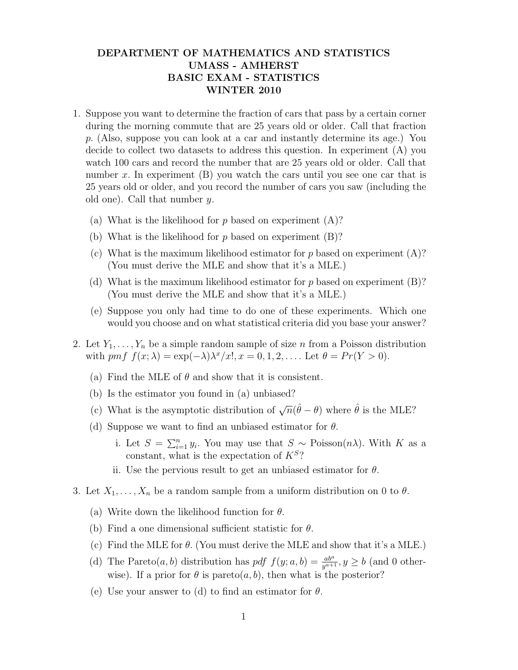## DEPARTMENT OF MATHEMATICS AND STATISTICS UMASS - AMHERST BASIC EXAM - STATISTICS WINTER 2010

- 1. Suppose you want to determine the fraction of cars that pass by a certain corner during the morning commute that are 25 years old or older. Call that fraction p. (Also, suppose you can look at a car and instantly determine its age.) You decide to collect two datasets to address this question. In experiment (A) you watch 100 cars and record the number that are 25 years old or older. Call that number x. In experiment  $(B)$  you watch the cars until you see one car that is 25 years old or older, and you record the number of cars you saw (including the old one). Call that number y.
	- (a) What is the likelihood for  $p$  based on experiment  $(A)$ ?
	- (b) What is the likelihood for  $p$  based on experiment  $(B)$ ?
	- (c) What is the maximum likelihood estimator for  $p$  based on experiment  $(A)$ ? (You must derive the MLE and show that it's a MLE.)
	- (d) What is the maximum likelihood estimator for  $p$  based on experiment (B)? (You must derive the MLE and show that it's a MLE.)
	- (e) Suppose you only had time to do one of these experiments. Which one would you choose and on what statistical criteria did you base your answer?
- 2. Let  $Y_1, \ldots, Y_n$  be a simple random sample of size n from a Poisson distribution with pmf  $f(x; \lambda) = \exp(-\lambda)\lambda^x/x!$ ,  $x = 0, 1, 2, \ldots$  Let  $\theta = Pr(Y > 0)$ .
	- (a) Find the MLE of  $\theta$  and show that it is consistent.
	- (b) Is the estimator you found in (a) unbiased?
	- (c) What is the asymptotic distribution of  $\sqrt{n}(\hat{\theta} \theta)$  where  $\hat{\theta}$  is the MLE?
	- (d) Suppose we want to find an unbiased estimator for  $\theta$ .
		- i. Let  $S = \sum_{i=1}^n y_i$ . You may use that  $S \sim \text{Poisson}(n\lambda)$ . With K as a constant, what is the expectation of  $K^S$ ?
		- ii. Use the pervious result to get an unbiased estimator for  $\theta$ .
- 3. Let  $X_1, \ldots, X_n$  be a random sample from a uniform distribution on 0 to  $\theta$ .
	- (a) Write down the likelihood function for  $\theta$ .
	- (b) Find a one dimensional sufficient statistic for  $\theta$ .
	- (c) Find the MLE for  $\theta$ . (You must derive the MLE and show that it's a MLE.)
	- (d) The Pareto $(a, b)$  distribution has  $pdf\ f(y; a, b) = \frac{ab^a}{y^{a+1}}, y \ge b$  (and 0 otherwise). If a prior for  $\theta$  is pareto $(a, b)$ , then what is the posterior?
	- (e) Use your answer to (d) to find an estimator for  $\theta$ .